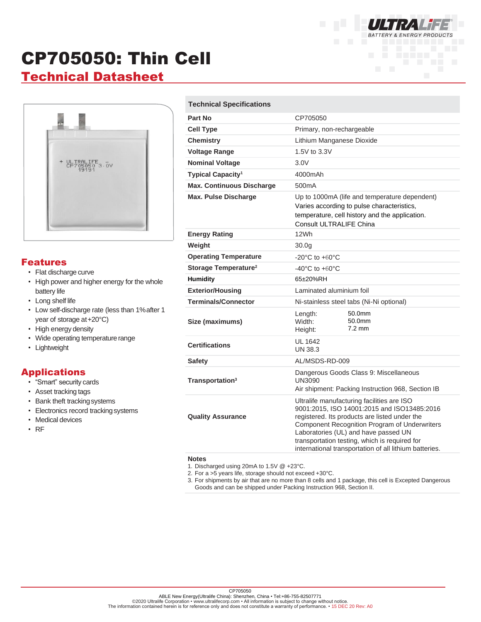# CP705050: Thin Cell

# **Technical Datasheet**



#### Features

- Flat discharge curve
- High power and higher energy for the whole battery life
- Long shelf life
- Low self-discharge rate (less than 1%after 1 year of storage at+20°C)
- High energy density
- Wide operating temperature range
- Lightweight

### Applications

- "Smart" security cards
- Asset tracking tags
- Bank theft trackingsystems
- Electronics record tracking systems
- Medical devices
- RF

#### **Technical Specifications**

| Part No<br>CP705050<br>Primary, non-rechargeable<br><b>Cell Type</b><br><b>Chemistry</b><br>Lithium Manganese Dioxide<br><b>Voltage Range</b><br>1.5V to 3.3V<br><b>Nominal Voltage</b><br>3.0V<br>Typical Capacity <sup>1</sup><br>4000mAh<br><b>Max. Continuous Discharge</b><br>500mA<br><b>Max. Pulse Discharge</b><br>Up to 1000mA (life and temperature dependent)<br>Varies according to pulse characteristics,<br>temperature, cell history and the application.<br><b>Consult ULTRALIFE China</b><br>12Wh<br><b>Energy Rating</b><br>Weight<br>30.0 <sub>g</sub><br><b>Operating Temperature</b><br>$-20^{\circ}$ C to $+60^{\circ}$ C<br>Storage Temperature <sup>2</sup><br>$-40^{\circ}$ C to $+60^{\circ}$ C<br><b>Humidity</b><br>65±20%RH<br><b>Exterior/Housing</b><br>Laminated aluminium foil<br><b>Terminals/Connector</b><br>Ni-stainless steel tabs (Ni-Ni optional)<br>50.0mm<br>Length:<br>Width:<br>50.0mm<br>Size (maximums)<br>$7.2 \text{ mm}$<br>Height:<br><b>UL 1642</b><br><b>Certifications</b><br>UN 38.3<br>AL/MSDS-RD-009<br><b>Safety</b><br>Dangerous Goods Class 9: Miscellaneous<br>Transportation <sup>3</sup><br><b>UN3090</b><br>Air shipment: Packing Instruction 968, Section IB<br>Ultralife manufacturing facilities are ISO<br>9001:2015, ISO 14001:2015 and ISO13485:2016<br>registered. Its products are listed under the<br><b>Quality Assurance</b><br>Component Recognition Program of Underwriters<br>Laboratories (UL) and have passed UN<br>transportation testing, which is required for<br>international transportation of all lithium batteries. |  |  |
|------------------------------------------------------------------------------------------------------------------------------------------------------------------------------------------------------------------------------------------------------------------------------------------------------------------------------------------------------------------------------------------------------------------------------------------------------------------------------------------------------------------------------------------------------------------------------------------------------------------------------------------------------------------------------------------------------------------------------------------------------------------------------------------------------------------------------------------------------------------------------------------------------------------------------------------------------------------------------------------------------------------------------------------------------------------------------------------------------------------------------------------------------------------------------------------------------------------------------------------------------------------------------------------------------------------------------------------------------------------------------------------------------------------------------------------------------------------------------------------------------------------------------------------------------------------------------------------------------------|--|--|
|                                                                                                                                                                                                                                                                                                                                                                                                                                                                                                                                                                                                                                                                                                                                                                                                                                                                                                                                                                                                                                                                                                                                                                                                                                                                                                                                                                                                                                                                                                                                                                                                            |  |  |
|                                                                                                                                                                                                                                                                                                                                                                                                                                                                                                                                                                                                                                                                                                                                                                                                                                                                                                                                                                                                                                                                                                                                                                                                                                                                                                                                                                                                                                                                                                                                                                                                            |  |  |
|                                                                                                                                                                                                                                                                                                                                                                                                                                                                                                                                                                                                                                                                                                                                                                                                                                                                                                                                                                                                                                                                                                                                                                                                                                                                                                                                                                                                                                                                                                                                                                                                            |  |  |
|                                                                                                                                                                                                                                                                                                                                                                                                                                                                                                                                                                                                                                                                                                                                                                                                                                                                                                                                                                                                                                                                                                                                                                                                                                                                                                                                                                                                                                                                                                                                                                                                            |  |  |
|                                                                                                                                                                                                                                                                                                                                                                                                                                                                                                                                                                                                                                                                                                                                                                                                                                                                                                                                                                                                                                                                                                                                                                                                                                                                                                                                                                                                                                                                                                                                                                                                            |  |  |
|                                                                                                                                                                                                                                                                                                                                                                                                                                                                                                                                                                                                                                                                                                                                                                                                                                                                                                                                                                                                                                                                                                                                                                                                                                                                                                                                                                                                                                                                                                                                                                                                            |  |  |
|                                                                                                                                                                                                                                                                                                                                                                                                                                                                                                                                                                                                                                                                                                                                                                                                                                                                                                                                                                                                                                                                                                                                                                                                                                                                                                                                                                                                                                                                                                                                                                                                            |  |  |
|                                                                                                                                                                                                                                                                                                                                                                                                                                                                                                                                                                                                                                                                                                                                                                                                                                                                                                                                                                                                                                                                                                                                                                                                                                                                                                                                                                                                                                                                                                                                                                                                            |  |  |
|                                                                                                                                                                                                                                                                                                                                                                                                                                                                                                                                                                                                                                                                                                                                                                                                                                                                                                                                                                                                                                                                                                                                                                                                                                                                                                                                                                                                                                                                                                                                                                                                            |  |  |
|                                                                                                                                                                                                                                                                                                                                                                                                                                                                                                                                                                                                                                                                                                                                                                                                                                                                                                                                                                                                                                                                                                                                                                                                                                                                                                                                                                                                                                                                                                                                                                                                            |  |  |
|                                                                                                                                                                                                                                                                                                                                                                                                                                                                                                                                                                                                                                                                                                                                                                                                                                                                                                                                                                                                                                                                                                                                                                                                                                                                                                                                                                                                                                                                                                                                                                                                            |  |  |
|                                                                                                                                                                                                                                                                                                                                                                                                                                                                                                                                                                                                                                                                                                                                                                                                                                                                                                                                                                                                                                                                                                                                                                                                                                                                                                                                                                                                                                                                                                                                                                                                            |  |  |
|                                                                                                                                                                                                                                                                                                                                                                                                                                                                                                                                                                                                                                                                                                                                                                                                                                                                                                                                                                                                                                                                                                                                                                                                                                                                                                                                                                                                                                                                                                                                                                                                            |  |  |
|                                                                                                                                                                                                                                                                                                                                                                                                                                                                                                                                                                                                                                                                                                                                                                                                                                                                                                                                                                                                                                                                                                                                                                                                                                                                                                                                                                                                                                                                                                                                                                                                            |  |  |
|                                                                                                                                                                                                                                                                                                                                                                                                                                                                                                                                                                                                                                                                                                                                                                                                                                                                                                                                                                                                                                                                                                                                                                                                                                                                                                                                                                                                                                                                                                                                                                                                            |  |  |
|                                                                                                                                                                                                                                                                                                                                                                                                                                                                                                                                                                                                                                                                                                                                                                                                                                                                                                                                                                                                                                                                                                                                                                                                                                                                                                                                                                                                                                                                                                                                                                                                            |  |  |
|                                                                                                                                                                                                                                                                                                                                                                                                                                                                                                                                                                                                                                                                                                                                                                                                                                                                                                                                                                                                                                                                                                                                                                                                                                                                                                                                                                                                                                                                                                                                                                                                            |  |  |
|                                                                                                                                                                                                                                                                                                                                                                                                                                                                                                                                                                                                                                                                                                                                                                                                                                                                                                                                                                                                                                                                                                                                                                                                                                                                                                                                                                                                                                                                                                                                                                                                            |  |  |
|                                                                                                                                                                                                                                                                                                                                                                                                                                                                                                                                                                                                                                                                                                                                                                                                                                                                                                                                                                                                                                                                                                                                                                                                                                                                                                                                                                                                                                                                                                                                                                                                            |  |  |
|                                                                                                                                                                                                                                                                                                                                                                                                                                                                                                                                                                                                                                                                                                                                                                                                                                                                                                                                                                                                                                                                                                                                                                                                                                                                                                                                                                                                                                                                                                                                                                                                            |  |  |

**BATTERY & ENERGY PRODUCTS** 

#### **Notes**

1. Discharged using 20mA to 1.5V @ +23°C.

2. For a >5 years life, storage should not exceed +30°C.

3. For shipments by air that are no more than 8 cells and 1 package, this cell is Excepted Dangerous Goods and can be shipped under Packing Instruction 968, Section II.